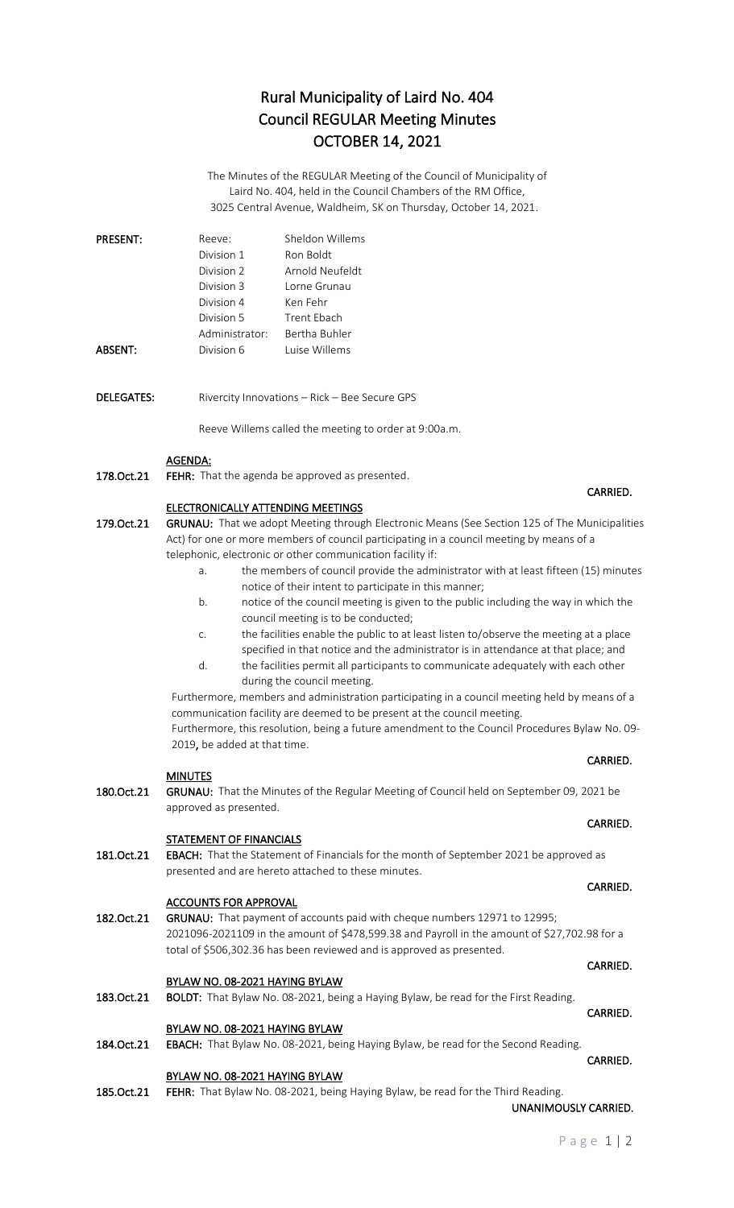# Rural Municipality of Laird No. 404 Council REGULAR Meeting Minutes OCTOBER 14, 2021

The Minutes of the REGULAR Meeting of the Council of Municipality of Laird No. 404, held in the Council Chambers of the RM Office, 3025 Central Avenue, Waldheim, SK on Thursday, October 14, 2021.

| <b>PRESENT:</b> | Reeve:         | Sheldon Willems |
|-----------------|----------------|-----------------|
|                 | Division 1     | Ron Boldt       |
|                 | Division 2     | Arnold Neufeldt |
|                 | Division 3     | Torne Grunau    |
|                 | Division 4     | Ken Fehr        |
|                 | Division 5     | Trent Ebach     |
|                 | Administrator: | Bertha Buhler   |
| ABSENT:         | Division 6     | Luise Willems   |

DELEGATES: Rivercity Innovations – Rick – Bee Secure GPS

Reeve Willems called the meeting to order at 9:00a.m.

### AGENDA:

178.Oct.21 FEHR: That the agenda be approved as presented.

### ELECTRONICALLY ATTENDING MEETINGS

179. Oct. 21 GRUNAU: That we adopt Meeting through Electronic Means (See Section 125 of The Municipalities Act) for one or more members of council participating in a council meeting by means of a telephonic, electronic or other communication facility if:

- a. the members of council provide the administrator with at least fifteen (15) minutes notice of their intent to participate in this manner;
- b. notice of the council meeting is given to the public including the way in which the council meeting is to be conducted;
- c. the facilities enable the public to at least listen to/observe the meeting at a place specified in that notice and the administrator is in attendance at that place; and
- d. the facilities permit all participants to communicate adequately with each other during the council meeting.

Furthermore, members and administration participating in a council meeting held by means of a communication facility are deemed to be present at the council meeting.

Furthermore, this resolution, being a future amendment to the Council Procedures Bylaw No. 09- 2019, be added at that time. **CARRIED. CARRIED.** 

### **MINUTES**

180.Oct.21 GRUNAU: That the Minutes of the Regular Meeting of Council held on September 09, 2021 be approved as presented.

**CARRIED. CARRIED.** 

### STATEMENT OF FINANCIALS

181.Oct.21 EBACH: That the Statement of Financials for the month of September 2021 be approved as presented and are hereto attached to these minutes.

### ACCOUNTS FOR APPROVAL

182.Oct.21 GRUNAU: That payment of accounts paid with cheque numbers 12971 to 12995; 2021096-2021109 in the amount of \$478,599.38 and Payroll in the amount of \$27,702.98 for a total of \$506,302.36 has been reviewed and is approved as presented.

### BYLAW NO. 08-2021 HAYING BYLAW

## 183.Oct.21 BOLDT: That Bylaw No. 08-2021, being a Haying Bylaw, be read for the First Reading.

### BYLAW NO. 08-2021 HAYING BYLAW

184.Oct.21 EBACH: That Bylaw No. 08-2021, being Haying Bylaw, be read for the Second Reading.

### BYLAW NO. 08-2021 HAYING BYLAW

185.Oct.21 FEHR: That Bylaw No. 08-2021, being Haying Bylaw, be read for the Third Reading. UNANIMOUSLY CARRIED.

## CARRIED.

### **CARRIED. CARRIED.**

### CARRIED.

### **CARRIED.** The contract of the contract of the contract of the contract of the contract of the contract of the contract of the contract of the contract of the contract of the contract of the contract of the contract of the

### **CARRIED.** The contract of the contract of the contract of the contract of the contract of the contract of the contract of the contract of the contract of the contract of the contract of the contract of the contract of the